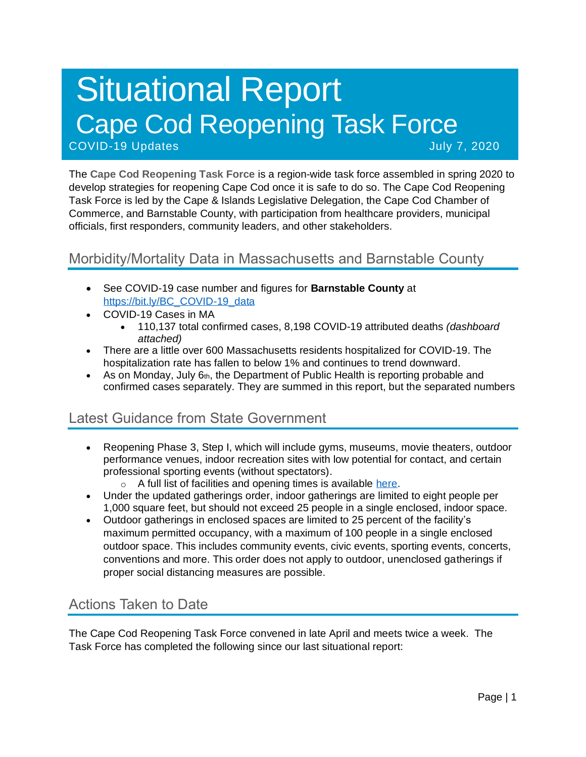# Situational Report Cape Cod Reopening Task Force COVID-19 Updates July 7, 2020

The **Cape Cod Reopening Task Force** is a region-wide task force assembled in spring 2020 to develop strategies for reopening Cape Cod once it is safe to do so. The Cape Cod Reopening Task Force is led by the Cape & Islands Legislative Delegation, the Cape Cod Chamber of Commerce, and Barnstable County, with participation from healthcare providers, municipal officials, first responders, community leaders, and other stakeholders.

### Morbidity/Mortality Data in Massachusetts and Barnstable County

- See COVID-19 case number and figures for **Barnstable County** at [https://bit.ly/BC\\_COVID-19\\_data](https://bit.ly/BC_COVID-19_data)
- COVID-19 Cases in MA
	- 110,137 total confirmed cases, 8,198 COVID-19 attributed deaths *(dashboard attached)*
- There are a little over 600 Massachusetts residents hospitalized for COVID-19. The hospitalization rate has fallen to below 1% and continues to trend downward.
- As on Monday, July  $6<sub>th</sub>$ , the Department of Public Health is reporting probable and confirmed cases separately. They are summed in this report, but the separated numbers

# Latest Guidance from State Government

- Reopening Phase 3, Step I, which will include gyms, museums, movie theaters, outdoor performance venues, indoor recreation sites with low potential for contact, and certain professional sporting events (without spectators).
	- o A full list of facilities and opening times is available [here.](https://www.mass.gov/info-details/reopening-when-can-my-business-reopen)
- Under the updated gatherings order, indoor gatherings are limited to eight people per 1,000 square feet, but should not exceed 25 people in a single enclosed, indoor space.
- Outdoor gatherings in enclosed spaces are limited to 25 percent of the facility's maximum permitted occupancy, with a maximum of 100 people in a single enclosed outdoor space. This includes community events, civic events, sporting events, concerts, conventions and more. This order does not apply to outdoor, unenclosed gatherings if proper social distancing measures are possible.

# Actions Taken to Date

The Cape Cod Reopening Task Force convened in late April and meets twice a week. The Task Force has completed the following since our last situational report: